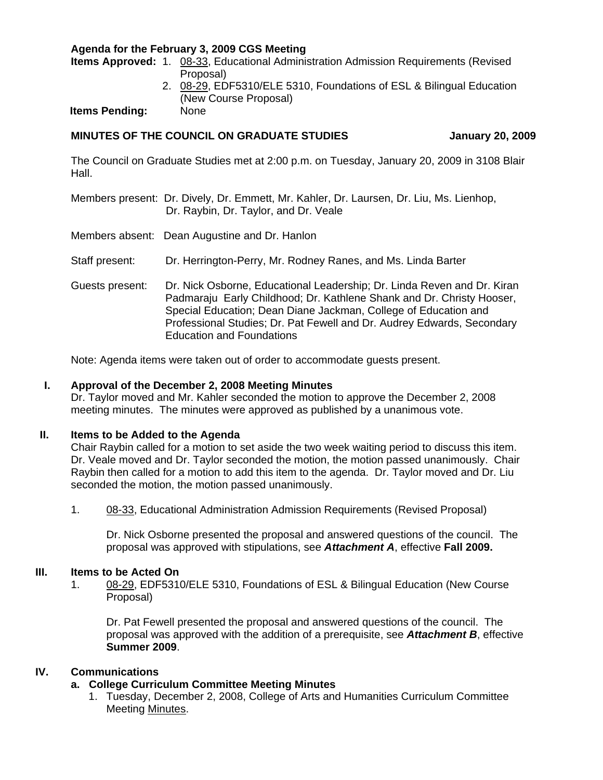## **Agenda for the February 3, 2009 CGS Meeting**

**Items Approved:** 1.[08-33, Ed](http://www.eiu.edu/~eiucgs/currentagendaitems/agenda08-33.pdf)ucational Administration Admission Requirements (Revised Proposal)

> 2. [08-29, E](http://www.eiu.edu/~eiucgs/currentagendaitems/agenda08-29.pdf)DF5310/ELE 5310, Foundations of ESL & Bilingual Education (New Course Proposal)

**Items Pending:** None

## **MINUTES OF THE COUNCIL ON GRADUATE STUDIES THE STUDIES** January 20, 2009

The Council on Graduate Studies met at 2:00 p.m. on Tuesday, January 20, 2009 in 3108 Blair Hall.

Members present: Dr. Dively, Dr. Emmett, Mr. Kahler, Dr. Laursen, Dr. Liu, Ms. Lienhop, Dr. Raybin, Dr. Taylor, and Dr. Veale

Members absent: Dean Augustine and Dr. Hanlon

Staff present: Dr. Herrington-Perry, Mr. Rodney Ranes, and Ms. Linda Barter

Guests present: Dr. Nick Osborne, Educational Leadership; Dr. Linda Reven and Dr. Kiran Padmaraju Early Childhood; Dr. Kathlene Shank and Dr. Christy Hooser, Special Education; Dean Diane Jackman, College of Education and Professional Studies; Dr. Pat Fewell and Dr. Audrey Edwards, Secondary Education and Foundations

Note: Agenda items were taken out of order to accommodate guests present.

### **I. Approval of the December 2, 2008 Meetin[g Minutes](http://www.eiu.edu/~eiucgs/currentminutes/Minutes12-02-08.pdf)**

Dr. Taylor moved and Mr. Kahler seconded the motion to approve the December 2, 2008 meeting minutes. The minutes were approved as published by a unanimous vote.

## **II. Items to be Added to the Agenda**

 Chair Raybin called for a motion to set aside the two week waiting period to discuss this item. Dr. Veale moved and Dr. Taylor seconded the motion, the motion passed unanimously. Chair Raybin then called for a motion to add this item to the agenda. Dr. Taylor moved and Dr. Liu seconded the motion, the motion passed unanimously.

1. [08-33, Ed](http://www.eiu.edu/~eiucgs/currentagendaitems/agenda08-33.pdf)ucational Administration Admission Requirements (Revised Proposal)

Dr. Nick Osborne presented the proposal and answered questions of the council. The proposal was approved with stipulations, see *Attachment A*, effective **Fall 2009.**

### **III. Items to be Acted On**

1. [08-29, ED](http://www.eiu.edu/~eiucgs/currentagendaitems/agenda08-29.pdf)F5310/ELE 5310, Foundations of ESL & Bilingual Education (New Course Proposal)

Dr. Pat Fewell presented the proposal and answered questions of the council. The proposal was approved with the addition of a prerequisite, see *Attachment B*, effective **Summer 2009**.

# **IV. Communications**

## **a. College Curriculum Committee Meeting Minutes**

 1. Tuesday, December 2, 2008, College of Arts and Humanities Curriculum Committee Meetin[g Minutes.](http://www.eiu.edu/~eiucgs/currentagendaitems/CAHMin12-02-08.pdf)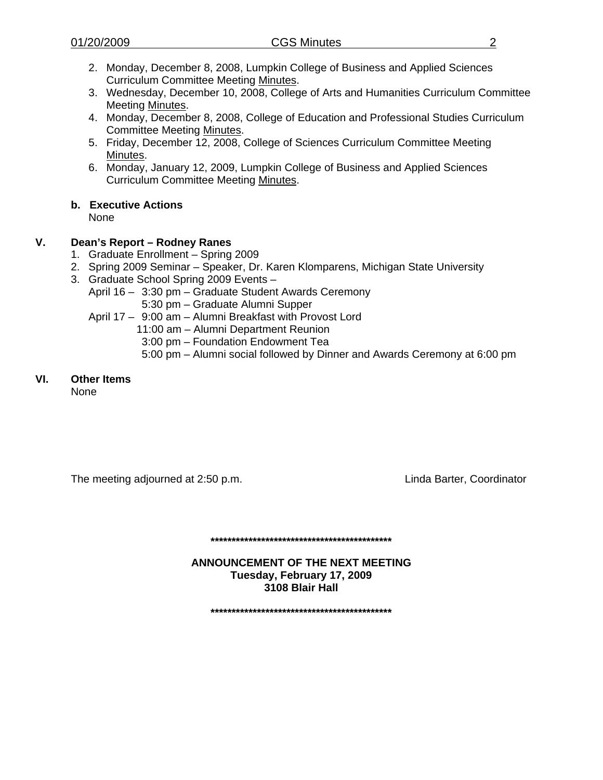- 
- 2. Monday, December 8, 2008, Lumpkin College of Business and Applied Sciences Curriculum Committee Meeti[ng Minutes.](http://www.eiu.edu/~eiucgs/currentagendaitems/LCBASMin12-8-08.pdf)
- 3. Wednesday, December 10, 2008, College of Arts and Humanities Curriculum Committee Meeti[ng Minutes.](http://www.eiu.edu/~eiucgs/currentagendaitems/CAHMin12-10-08.pdf)
- 4. Monday, December 8, 2008, College of Education and Professional Studies Curriculum Committee Meetin[g Minutes.](http://www.eiu.edu/~eiucgs/currentagendaitems/CEPSMin12-8-08.pdf)
- 5. Friday, December 12, 2008, College of Sciences Curriculum Committee Meeting [Minutes.](http://www.eiu.edu/~eiucgs/currentagendaitems/COSMin12-12-08.pdf)
- 6. Monday, January 12, 2009, Lumpkin College of Business and Applied Sciences Curriculum Committee Me[eting Minutes.](http://www.eiu.edu/~eiucgs/currentagendaitems/LCBASMin1-12-09.pdf)

# **b. Executive Actions**

None

# **V. Dean's Report – Rodney Ranes**

- 1. Graduate Enrollment Spring 2009
- 2. Spring 2009 Seminar Speaker, Dr. Karen Klomparens, Michigan State University
- 3. Graduate School Spring 2009 Events
	- April 16 3:30 pm Graduate Student Awards Ceremony 5:30 pm – Graduate Alumni Supper
	- April 17 9:00 am Alumni Breakfast with Provost Lord
		- 11:00 am Alumni Department Reunion
			- 3:00 pm Foundation Endowment Tea
			- 5:00 pm Alumni social followed by Dinner and Awards Ceremony at 6:00 pm

# **VI. Other Items**

None

The meeting adjourned at 2:50 p.m. Coordinator European Muslim Linda Barter, Coordinator

**\*\*\*\*\*\*\*\*\*\*\*\*\*\*\*\*\*\*\*\*\*\*\*\*\*\*\*\*\*\*\*\*\*\*\*\*\*\*\*\*\*\*\*** 

**ANNOUNCEMENT OF THE NEXT MEETING Tuesday, February 17, 2009 3108 Blair Hall** 

**\*\*\*\*\*\*\*\*\*\*\*\*\*\*\*\*\*\*\*\*\*\*\*\*\*\*\*\*\*\*\*\*\*\*\*\*\*\*\*\*\*\*\***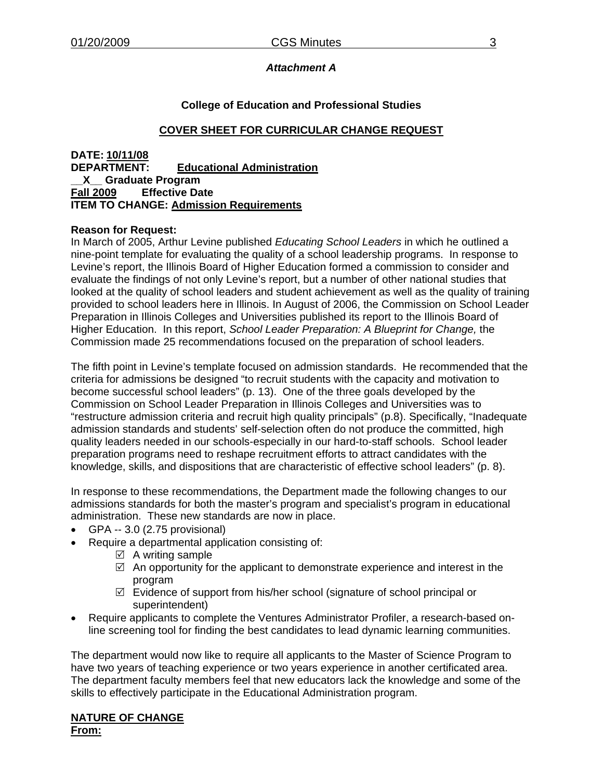# *Attachment A*

# **College of Education and Professional Studies**

# **COVER SHEET FOR CURRICULAR CHANGE REQUEST**

### **DATE: 10/11/08 DEPARTMENT: Educational Administration \_\_X\_\_ Graduate Program Fall 2009 Effective Date ITEM TO CHANGE: Admission Requirements**

### **Reason for Request:**

In March of 2005, Arthur Levine published *Educating School Leaders* in which he outlined a nine-point template for evaluating the quality of a school leadership programs. In response to Levine's report, the Illinois Board of Higher Education formed a commission to consider and evaluate the findings of not only Levine's report, but a number of other national studies that looked at the quality of school leaders and student achievement as well as the quality of training provided to school leaders here in Illinois. In August of 2006, the Commission on School Leader Preparation in Illinois Colleges and Universities published its report to the Illinois Board of Higher Education. In this report, *School Leader Preparation: A Blueprint for Change,* the Commission made 25 recommendations focused on the preparation of school leaders.

The fifth point in Levine's template focused on admission standards. He recommended that the criteria for admissions be designed "to recruit students with the capacity and motivation to become successful school leaders" (p. 13). One of the three goals developed by the Commission on School Leader Preparation in Illinois Colleges and Universities was to "restructure admission criteria and recruit high quality principals" (p.8). Specifically, "Inadequate admission standards and students' self-selection often do not produce the committed, high quality leaders needed in our schools-especially in our hard-to-staff schools. School leader preparation programs need to reshape recruitment efforts to attract candidates with the knowledge, skills, and dispositions that are characteristic of effective school leaders" (p. 8).

In response to these recommendations, the Department made the following changes to our admissions standards for both the master's program and specialist's program in educational administration. These new standards are now in place.

- GPA -- 3.0 (2.75 provisional)
- Require a departmental application consisting of:
	- $\boxtimes$  A writing sample
	- $\boxtimes$  An opportunity for the applicant to demonstrate experience and interest in the program
	- $\boxtimes$  Evidence of support from his/her school (signature of school principal or superintendent)
- Require applicants to complete the Ventures Administrator Profiler, a research-based online screening tool for finding the best candidates to lead dynamic learning communities.

The department would now like to require all applicants to the Master of Science Program to have two years of teaching experience or two years experience in another certificated area. The department faculty members feel that new educators lack the knowledge and some of the skills to effectively participate in the Educational Administration program.

#### **NATURE OF CHANGE From:**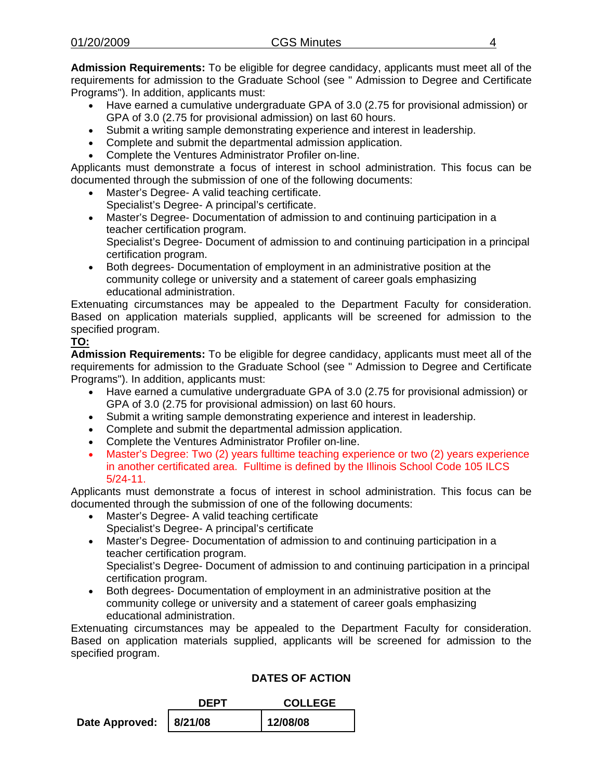**Admission Requirements:** To be eligible for degree candidacy, applicants must meet all of the requirements for admission to the Graduate School (see " Admission to Degree and Certificate Programs"). In addition, applicants must:

- Have earned a cumulative undergraduate GPA of 3.0 (2.75 for provisional admission) or GPA of 3.0 (2.75 for provisional admission) on last 60 hours.
- Submit a writing sample demonstrating experience and interest in leadership.
- Complete and submit the departmental admission application.
- Complete the Ventures Administrator Profiler on-line.

Applicants must demonstrate a focus of interest in school administration. This focus can be documented through the submission of one of the following documents:

- Master's Degree- A valid teaching certificate. Specialist's Degree- A principal's certificate.
- Master's Degree- Documentation of admission to and continuing participation in a teacher certification program.

Specialist's Degree- Document of admission to and continuing participation in a principal certification program.

• Both degrees- Documentation of employment in an administrative position at the community college or university and a statement of career goals emphasizing educational administration.

Extenuating circumstances may be appealed to the Department Faculty for consideration. Based on application materials supplied, applicants will be screened for admission to the specified program.

# **TO:**

**Admission Requirements:** To be eligible for degree candidacy, applicants must meet all of the requirements for admission to the Graduate School (see " Admission to Degree and Certificate Programs"). In addition, applicants must:

- Have earned a cumulative undergraduate GPA of 3.0 (2.75 for provisional admission) or GPA of 3.0 (2.75 for provisional admission) on last 60 hours.
- Submit a writing sample demonstrating experience and interest in leadership.
- Complete and submit the departmental admission application.
- Complete the Ventures Administrator Profiler on-line.
- Master's Degree: Two (2) years fulltime teaching experience or two (2) years experience in another certificated area. Fulltime is defined by the Illinois School Code 105 ILCS 5/24-11.

Applicants must demonstrate a focus of interest in school administration. This focus can be documented through the submission of one of the following documents:

- Master's Degree- A valid teaching certificate Specialist's Degree- A principal's certificate
- Master's Degree- Documentation of admission to and continuing participation in a teacher certification program.

Specialist's Degree- Document of admission to and continuing participation in a principal certification program.

• Both degrees- Documentation of employment in an administrative position at the community college or university and a statement of career goals emphasizing educational administration.

Extenuating circumstances may be appealed to the Department Faculty for consideration. Based on application materials supplied, applicants will be screened for admission to the specified program.

|                          | DEPT | <b>COLLEGE</b> |  |
|--------------------------|------|----------------|--|
| Date Approved:   8/21/08 |      | 12/08/08       |  |

# **DATES OF ACTION**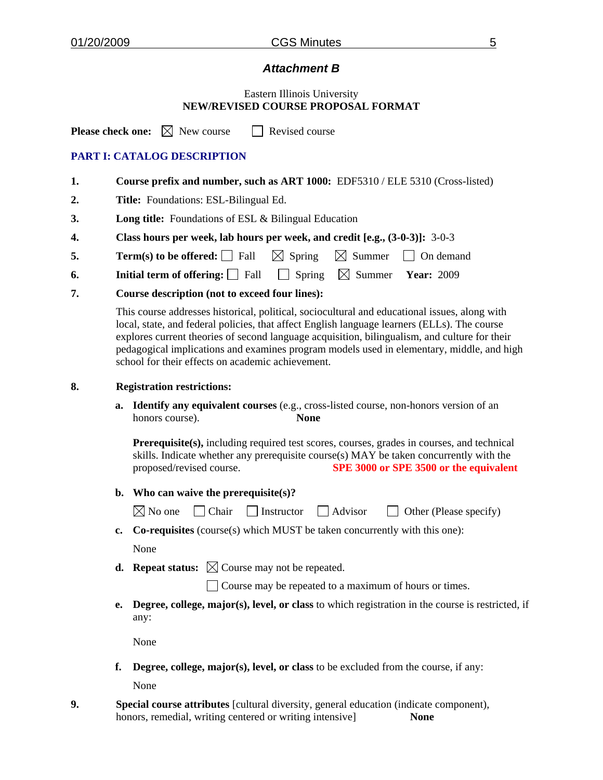# *Attachment B*

### Eastern Illinois University **NEW/REVISED COURSE PROPOSAL FORMAT**

**Please check one:**  $\boxtimes$  New course  $\Box$  Revised course

# **PART I: CATALOG DESCRIPTION**

- **1. Course prefix and number, such as ART 1000:** EDF5310 / ELE 5310 (Cross-listed)
- **2. Title:** Foundations: ESL-Bilingual Ed.
- **3. Long title:** Foundations of ESL & Bilingual Education
- **4. Class hours per week, lab hours per week, and credit [e.g., (3-0-3)]:** 3-0-3
- **5. Term(s) to be offered:**  $\Box$  Fall  $\Box$  Spring  $\Box$  Summer  $\Box$  On demand
- **6. Initial term of offering:**  $\Box$  Fall  $\Box$  Spring  $\Box$  Summer **Year:** 2009
- **7. Course description (not to exceed four lines):**

 This course addresses historical, political, sociocultural and educational issues, along with local, state, and federal policies, that affect English language learners (ELLs). The course explores current theories of second language acquisition, bilingualism, and culture for their pedagogical implications and examines program models used in elementary, middle, and high school for their effects on academic achievement.

### **8. Registration restrictions:**

**a. Identify any equivalent courses** (e.g., cross-listed course, non-honors version of an honors course). **None**

**Prerequisite(s),** including required test scores, courses, grades in courses, and technical skills. Indicate whether any prerequisite course(s) MAY be taken concurrently with the proposed/revised course. **SPE 3000 or SPE 3500 or the equivalent**

**b. Who can waive the prerequisite(s)?** 

| $\boxtimes$ No one | $\Box$ Chair | $\Box$ Instructor $\Box$ Advisor |  | $\Box$ Other (Please specify) |
|--------------------|--------------|----------------------------------|--|-------------------------------|
|--------------------|--------------|----------------------------------|--|-------------------------------|

**c. Co-requisites** (course(s) which MUST be taken concurrently with this one):

None

**d. Repeat status:**  $\boxtimes$  Course may not be repeated.

 $\Box$  Course may be repeated to a maximum of hours or times.

**e. Degree, college, major(s), level, or class** to which registration in the course is restricted, if any:

None

**f. Degree, college, major(s), level, or class** to be excluded from the course, if any:

None

**9. Special course attributes** [cultural diversity, general education (indicate component), honors, remedial, writing centered or writing intensive] **None**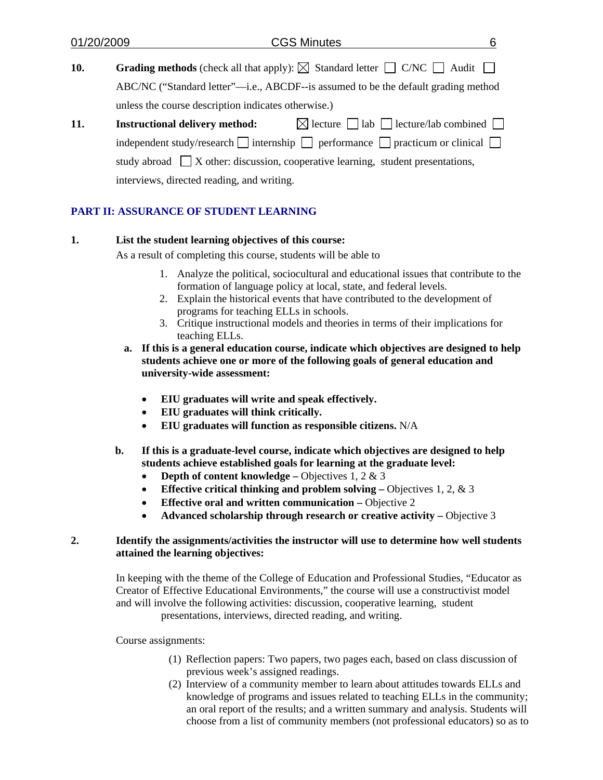| 01/20/2009 | <b>CGS Minutes</b><br>6                                                                                    |
|------------|------------------------------------------------------------------------------------------------------------|
| 10.        | <b>Grading methods</b> (check all that apply): $\boxtimes$ Standard letter $\Box$ C/NC $\Box$ Audit $\Box$ |
|            | ABC/NC ("Standard letter"—i.e., ABCDF--is assumed to be the default grading method                         |
|            | unless the course description indicates otherwise.)                                                        |
| 11.        | $\boxtimes$ lecture $\Box$ lab $\Box$ lecture/lab combined $\Box$<br><b>Instructional delivery method:</b> |
|            | independent study/research $\Box$ internship $\Box$ performance $\Box$ practicum or clinical $\Box$        |
|            | study abroad $\Box X$ other: discussion, cooperative learning, student presentations,                      |
|            | interviews, directed reading, and writing.                                                                 |
|            |                                                                                                            |

# **PART II: ASSURANCE OF STUDENT LEARNING**

### **1. List the student learning objectives of this course:**

As a result of completing this course, students will be able to

- 1. Analyze the political, sociocultural and educational issues that contribute to the formation of language policy at local, state, and federal levels.
- 2. Explain the historical events that have contributed to the development of programs for teaching ELLs in schools.
- 3. Critique instructional models and theories in terms of their implications for teaching ELLs.
- **a. If this is a general education course, indicate which objectives are designed to help students achieve one or more of the following goals of general education and university-wide assessment:** 
	- **EIU graduates will write and speak effectively.**
	- **EIU graduates will think critically.**
	- **EIU graduates will function as responsible citizens.** N/A
- **b. If this is a graduate-level course, indicate which objectives are designed to help students achieve established goals for learning at the graduate level:** 
	- **Depth of content knowledge** Objectives 1, 2 & 3
	- **Effective critical thinking and problem solving Objectives 1, 2, & 3**
	- **Effective oral and written communication** Objective 2
	- Advanced scholarship through research or creative activity Objective 3

### **2. Identify the assignments/activities the instructor will use to determine how well students attained the learning objectives:**

 In keeping with the theme of the College of Education and Professional Studies, "Educator as Creator of Effective Educational Environments," the course will use a constructivist model and will involve the following activities: discussion, cooperative learning, student

presentations, interviews, directed reading, and writing.

Course assignments:

- (1) Reflection papers: Two papers, two pages each, based on class discussion of previous week's assigned readings.
- (2) Interview of a community member to learn about attitudes towards ELLs and knowledge of programs and issues related to teaching ELLs in the community; an oral report of the results; and a written summary and analysis. Students will choose from a list of community members (not professional educators) so as to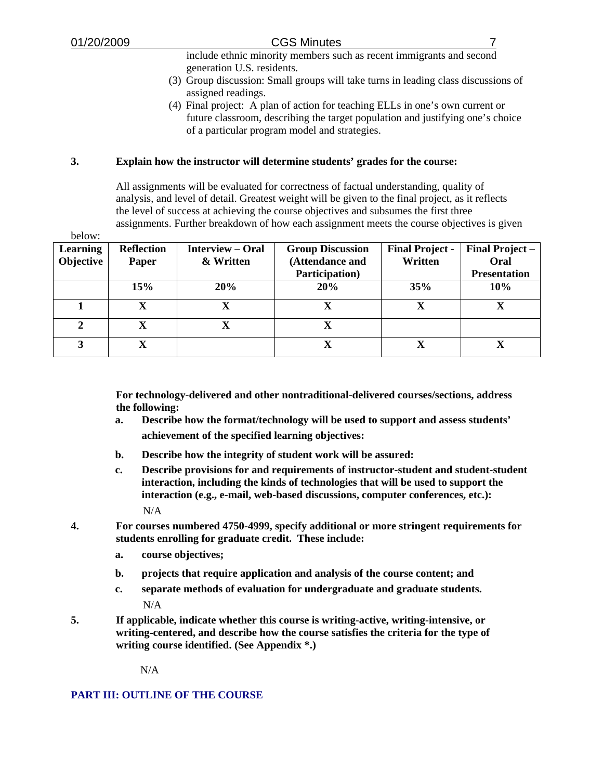include ethnic minority members such as recent immigrants and second generation U.S. residents.

- (3) Group discussion: Small groups will take turns in leading class discussions of assigned readings.
- (4) Final project: A plan of action for teaching ELLs in one's own current or future classroom, describing the target population and justifying one's choice of a particular program model and strategies.

### **3. Explain how the instructor will determine students' grades for the course:**

 All assignments will be evaluated for correctness of factual understanding, quality of analysis, and level of detail. Greatest weight will be given to the final project, as it reflects the level of success at achieving the course objectives and subsumes the first three assignments. Further breakdown of how each assignment meets the course objectives is given

| below:          |                   |                         |                         |                        |                        |
|-----------------|-------------------|-------------------------|-------------------------|------------------------|------------------------|
| <b>Learning</b> | <b>Reflection</b> | <b>Interview – Oral</b> | <b>Group Discussion</b> | <b>Final Project -</b> | <b>Final Project –</b> |
| Objective       | Paper             | & Written               | (Attendance and         | Written                | Oral                   |
|                 |                   |                         | Participation)          |                        | <b>Presentation</b>    |
|                 | 15%               | 20%                     | 20%                     | 35%                    | 10%                    |
|                 | X                 | X                       | X                       | X                      | X                      |
|                 |                   |                         |                         |                        |                        |
| $\mathbf{2}$    | X                 | $\mathbf X$             | X                       |                        |                        |
| 3               | X                 |                         | X                       | X                      |                        |

 **For technology-delivered and other nontraditional-delivered courses/sections, address the following:** 

- **a. Describe how the format/technology will be used to support and assess students' achievement of the specified learning objectives:**
- **b. Describe how the integrity of student work will be assured:**
- **c. Describe provisions for and requirements of instructor-student and student-student interaction, including the kinds of technologies that will be used to support the interaction (e.g., e-mail, web-based discussions, computer conferences, etc.):** N/A
- **4. For courses numbered 4750-4999, specify additional or more stringent requirements for students enrolling for graduate credit. These include:** 
	- **a. course objectives;**
	- **b. projects that require application and analysis of the course content; and**
	- **c. separate methods of evaluation for undergraduate and graduate students.** N/A
- **5. If applicable, indicate whether this course is writing-active, writing-intensive, or writing-centered, and describe how the course satisfies the criteria for the type of writing course identified. (See Appendix \*.)**

N/A

## **PART III: OUTLINE OF THE COURSE**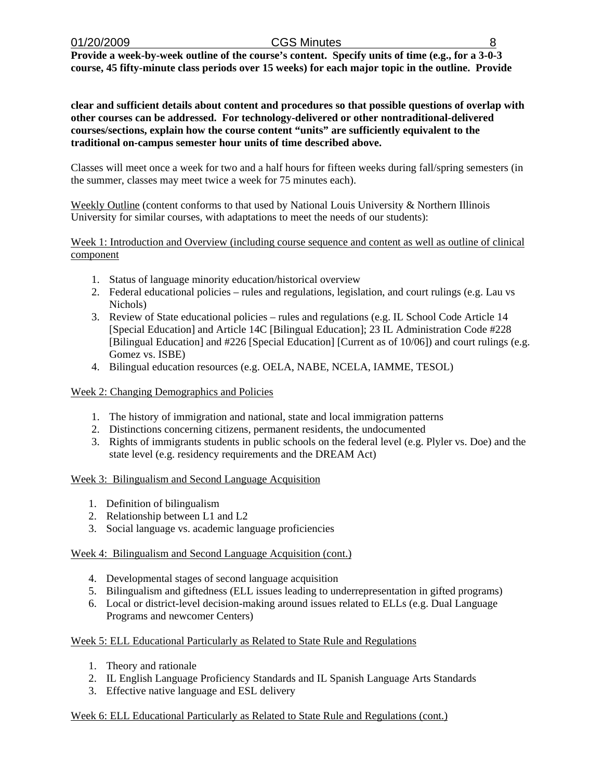**Provide a week-by-week outline of the course's content. Specify units of time (e.g., for a 3-0-3 course, 45 fifty-minute class periods over 15 weeks) for each major topic in the outline. Provide** 

**clear and sufficient details about content and procedures so that possible questions of overlap with other courses can be addressed. For technology-delivered or other nontraditional-delivered courses/sections, explain how the course content "units" are sufficiently equivalent to the traditional on-campus semester hour units of time described above.** 

Classes will meet once a week for two and a half hours for fifteen weeks during fall/spring semesters (in the summer, classes may meet twice a week for 75 minutes each).

Weekly Outline (content conforms to that used by National Louis University & Northern Illinois University for similar courses, with adaptations to meet the needs of our students):

Week 1: Introduction and Overview (including course sequence and content as well as outline of clinical component

- 1. Status of language minority education/historical overview
- 2. Federal educational policies rules and regulations, legislation, and court rulings (e.g. Lau vs Nichols)
- 3. Review of State educational policies rules and regulations (e.g. IL School Code Article 14 [Special Education] and Article 14C [Bilingual Education]; 23 IL Administration Code #228 [Bilingual Education] and #226 [Special Education] [Current as of 10/06]) and court rulings (e.g. Gomez vs. ISBE)
- 4. Bilingual education resources (e.g. OELA, NABE, NCELA, IAMME, TESOL)

### Week 2: Changing Demographics and Policies

- 1. The history of immigration and national, state and local immigration patterns
- 2. Distinctions concerning citizens, permanent residents, the undocumented
- 3. Rights of immigrants students in public schools on the federal level (e.g. Plyler vs. Doe) and the state level (e.g. residency requirements and the DREAM Act)

### Week 3: Bilingualism and Second Language Acquisition

- 1. Definition of bilingualism
- 2. Relationship between L1 and L2
- 3. Social language vs. academic language proficiencies

### Week 4: Bilingualism and Second Language Acquisition (cont.)

- 4. Developmental stages of second language acquisition
- 5. Bilingualism and giftedness (ELL issues leading to underrepresentation in gifted programs)
- 6. Local or district-level decision-making around issues related to ELLs (e.g. Dual Language Programs and newcomer Centers)

### Week 5: ELL Educational Particularly as Related to State Rule and Regulations

- 1. Theory and rationale
- 2. IL English Language Proficiency Standards and IL Spanish Language Arts Standards
- 3. Effective native language and ESL delivery

### Week 6: ELL Educational Particularly as Related to State Rule and Regulations (cont.)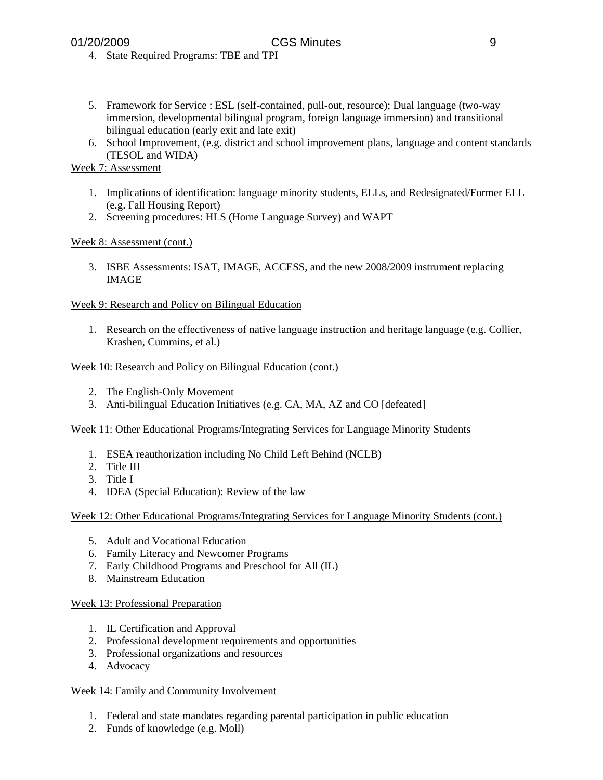- 4. State Required Programs: TBE and TPI
- 5. Framework for Service : ESL (self-contained, pull-out, resource); Dual language (two-way immersion, developmental bilingual program, foreign language immersion) and transitional bilingual education (early exit and late exit)
- 6. School Improvement, (e.g. district and school improvement plans, language and content standards (TESOL and WIDA)

## Week 7: Assessment

- 1. Implications of identification: language minority students, ELLs, and Redesignated/Former ELL (e.g. Fall Housing Report)
- 2. Screening procedures: HLS (Home Language Survey) and WAPT

### Week 8: Assessment (cont.)

3. ISBE Assessments: ISAT, IMAGE, ACCESS, and the new 2008/2009 instrument replacing IMAGE

### Week 9: Research and Policy on Bilingual Education

1. Research on the effectiveness of native language instruction and heritage language (e.g. Collier, Krashen, Cummins, et al.)

### Week 10: Research and Policy on Bilingual Education (cont.)

- 2. The English-Only Movement
- 3. Anti-bilingual Education Initiatives (e.g. CA, MA, AZ and CO [defeated]

### Week 11: Other Educational Programs/Integrating Services for Language Minority Students

- 1. ESEA reauthorization including No Child Left Behind (NCLB)
- 2. Title III
- 3. Title I
- 4. IDEA (Special Education): Review of the law

### Week 12: Other Educational Programs/Integrating Services for Language Minority Students (cont.)

- 5. Adult and Vocational Education
- 6. Family Literacy and Newcomer Programs
- 7. Early Childhood Programs and Preschool for All (IL)
- 8. Mainstream Education

### Week 13: Professional Preparation

- 1. IL Certification and Approval
- 2. Professional development requirements and opportunities
- 3. Professional organizations and resources
- 4. Advocacy

### Week 14: Family and Community Involvement

- 1. Federal and state mandates regarding parental participation in public education
- 2. Funds of knowledge (e.g. Moll)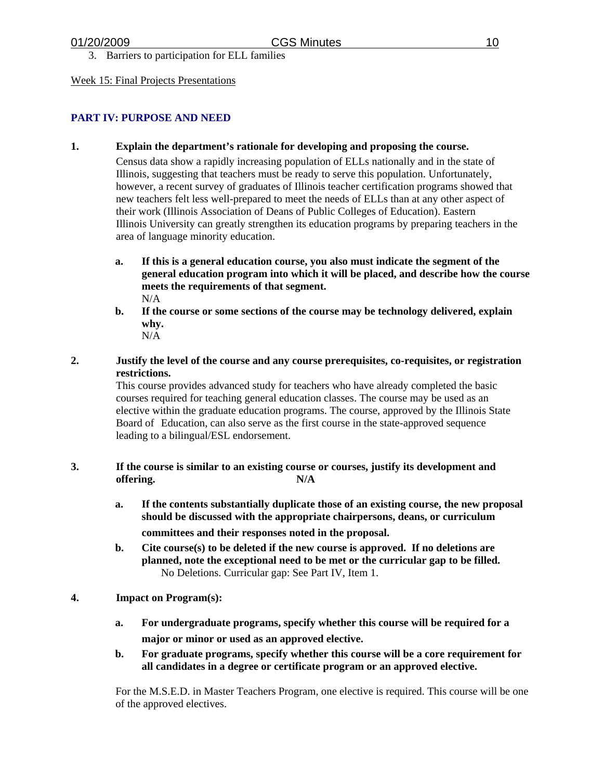3. Barriers to participation for ELL families

#### Week 15: Final Projects Presentations

### **PART IV: PURPOSE AND NEED**

**1. Explain the department's rationale for developing and proposing the course.**

 Census data show a rapidly increasing population of ELLs nationally and in the state of Illinois, suggesting that teachers must be ready to serve this population. Unfortunately, however, a recent survey of graduates of Illinois teacher certification programs showed that new teachers felt less well-prepared to meet the needs of ELLs than at any other aspect of their work (Illinois Association of Deans of Public Colleges of Education). Eastern Illinois University can greatly strengthen its education programs by preparing teachers in the area of language minority education.

- **a. If this is a general education course, you also must indicate the segment of the general education program into which it will be placed, and describe how the course meets the requirements of that segment.** N/A
- **b. If the course or some sections of the course may be technology delivered, explain why.** N/A
- **2. Justify the level of the course and any course prerequisites, co-requisites, or registration restrictions.**

 This course provides advanced study for teachers who have already completed the basic courses required for teaching general education classes. The course may be used as an elective within the graduate education programs. The course, approved by the Illinois State Board of Education, can also serve as the first course in the state-approved sequence leading to a bilingual/ESL endorsement.

- **3. If the course is similar to an existing course or courses, justify its development and offering. N/A**
	- **a. If the contents substantially duplicate those of an existing course, the new proposal should be discussed with the appropriate chairpersons, deans, or curriculum committees and their responses noted in the proposal.**
	- **b. Cite course(s) to be deleted if the new course is approved. If no deletions are planned, note the exceptional need to be met or the curricular gap to be filled.** No Deletions. Curricular gap: See Part IV, Item 1.
- **4. Impact on Program(s):** 
	- **a. For undergraduate programs, specify whether this course will be required for a major or minor or used as an approved elective.**
	- **b. For graduate programs, specify whether this course will be a core requirement for all candidates in a degree or certificate program or an approved elective.**

For the M.S.E.D. in Master Teachers Program, one elective is required. This course will be one of the approved electives.